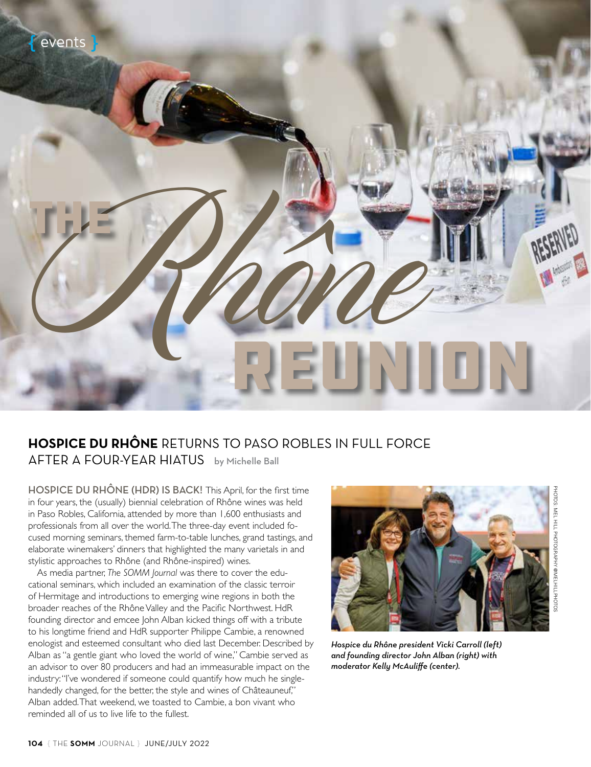

#### **HOSPICE DU RHÔNE** RETURNS TO PASO ROBLES IN FULL FORCE AFTER A FOUR-YEAR HIATUS by Michelle Ball

HOSPICE DU RHÔNE (HDR) IS BACK! This April, for the first time in four years, the (usually) biennial celebration of Rhône wines was held in Paso Robles, California, attended by more than 1,600 enthusiasts and professionals from all over the world. The three-day event included focused morning seminars, themed farm-to-table lunches, grand tastings, and elaborate winemakers' dinners that highlighted the many varietals in and stylistic approaches to Rhône (and Rhône-inspired) wines.

As media partner, *The SOMM Journal* was there to cover the educational seminars, which included an examination of the classic terroir of Hermitage and introductions to emerging wine regions in both the broader reaches of the Rhône Valley and the Pacific Northwest. HdR founding director and emcee John Alban kicked things off with a tribute to his longtime friend and HdR supporter Philippe Cambie, a renowned enologist and esteemed consultant who died last December. Described by Alban as "a gentle giant who loved the world of wine," Cambie served as an advisor to over 80 producers and had an immeasurable impact on the industry: "I've wondered if someone could quantify how much he singlehandedly changed, for the better, the style and wines of Châteauneuf," Alban added. That weekend, we toasted to Cambie, a bon vivant who reminded all of us to live life to the fullest.



*Hospice du Rhône president Vicki Carroll (left) and founding director John Alban (right) with moderator Kelly McAuliffe (center).*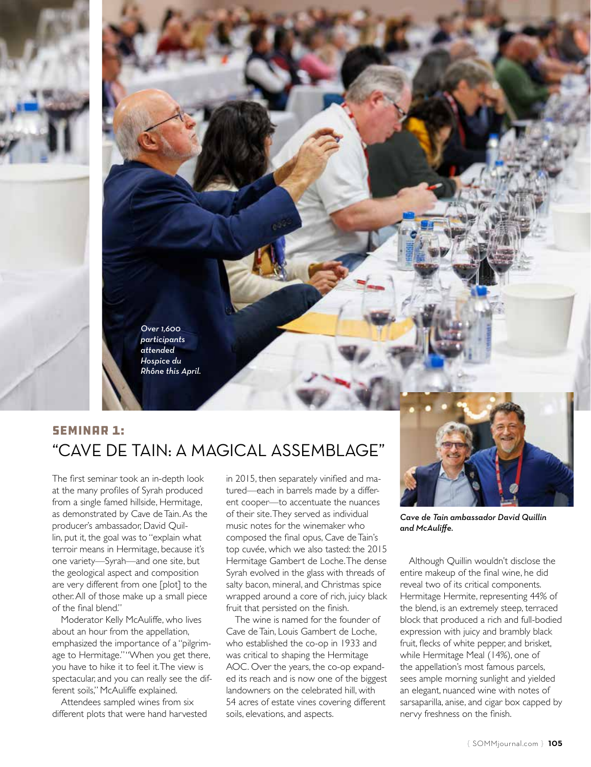

#### **SEMINAR 1:** "CAVE DE TAIN: A MAGICAL ASSEMBLAGE"

The first seminar took an in-depth look at the many profiles of Syrah produced from a single famed hillside, Hermitage, as demonstrated by Cave de Tain. As the producer's ambassador, David Quillin, put it, the goal was to "explain what terroir means in Hermitage, because it's one variety—Syrah—and one site, but the geological aspect and composition are very different from one [plot] to the other. All of those make up a small piece of the final blend."

Moderator Kelly McAuliffe, who lives about an hour from the appellation, emphasized the importance of a "pilgrimage to Hermitage." "When you get there, you have to hike it to feel it. The view is spectacular, and you can really see the different soils," McAuliffe explained.

Attendees sampled wines from six different plots that were hand harvested in 2015, then separately vinified and matured—each in barrels made by a different cooper—to accentuate the nuances of their site. They served as individual music notes for the winemaker who composed the final opus, Cave de Tain's top cuvée, which we also tasted: the 2015 Hermitage Gambert de Loche. The dense Syrah evolved in the glass with threads of salty bacon, mineral, and Christmas spice wrapped around a core of rich, juicy black fruit that persisted on the finish.

The wine is named for the founder of Cave de Tain, Louis Gambert de Loche, who established the co-op in 1933 and was critical to shaping the Hermitage AOC. Over the years, the co-op expanded its reach and is now one of the biggest landowners on the celebrated hill, with 54 acres of estate vines covering different soils, elevations, and aspects.



*Cave de Tain ambassador David Quillin and McAuliffe.*

Although Quillin wouldn't disclose the entire makeup of the final wine, he did reveal two of its critical components. Hermitage Hermite, representing 44% of the blend, is an extremely steep, terraced block that produced a rich and full-bodied expression with juicy and brambly black fruit, flecks of white pepper, and brisket, while Hermitage Meal (14%), one of the appellation's most famous parcels, sees ample morning sunlight and yielded an elegant, nuanced wine with notes of sarsaparilla, anise, and cigar box capped by nervy freshness on the finish.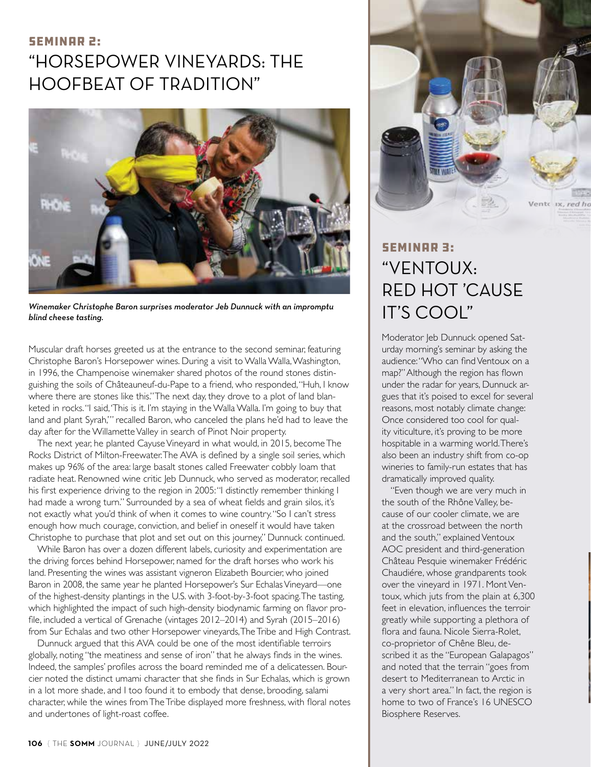### SEMINAR 2: "HORSEPOWER VINEYARDS: THE HOOFBEAT OF TRADITION"



*Winemaker Christophe Baron surprises moderator Jeb Dunnuck with an impromptu blind cheese tasting.*

Muscular draft horses greeted us at the entrance to the second seminar, featuring Christophe Baron's Horsepower wines. During a visit to Walla Walla, Washington, in 1996, the Champenoise winemaker shared photos of the round stones distinguishing the soils of Châteauneuf-du-Pape to a friend, who responded, "Huh, I know where there are stones like this." The next day, they drove to a plot of land blanketed in rocks. "I said, 'This is it. I'm staying in the Walla Walla. I'm going to buy that land and plant Syrah,'" recalled Baron, who canceled the plans he'd had to leave the day after for the Willamette Valley in search of Pinot Noir property.

The next year, he planted Cayuse Vineyard in what would, in 2015, become The Rocks District of Milton-Freewater. The AVA is defined by a single soil series, which makes up 96% of the area: large basalt stones called Freewater cobbly loam that radiate heat. Renowned wine critic Jeb Dunnuck, who served as moderator, recalled his first experience driving to the region in 2005: "I distinctly remember thinking I had made a wrong turn." Surrounded by a sea of wheat fields and grain silos, it's not exactly what you'd think of when it comes to wine country. "So I can't stress enough how much courage, conviction, and belief in oneself it would have taken Christophe to purchase that plot and set out on this journey," Dunnuck continued.

While Baron has over a dozen different labels, curiosity and experimentation are the driving forces behind Horsepower, named for the draft horses who work his land. Presenting the wines was assistant vigneron Elizabeth Bourcier, who joined Baron in 2008, the same year he planted Horsepower's Sur Echalas Vineyard—one of the highest-density plantings in the U.S. with 3-foot-by-3-foot spacing. The tasting, which highlighted the impact of such high-density biodynamic farming on flavor profile, included a vertical of Grenache (vintages 2012–2014) and Syrah (2015–2016) from Sur Echalas and two other Horsepower vineyards, The Tribe and High Contrast.

Dunnuck argued that this AVA could be one of the most identifiable terroirs globally, noting "the meatiness and sense of iron" that he always finds in the wines. Indeed, the samples' profiles across the board reminded me of a delicatessen. Bourcier noted the distinct umami character that she finds in Sur Echalas, which is grown in a lot more shade, and I too found it to embody that dense, brooding, salami character, while the wines from The Tribe displayed more freshness, with floral notes and undertones of light-roast coffee.



# **SEMINAR 3:** "VENTOUX: RED HOT 'CAUSE IT'S COOL"

Moderator Jeb Dunnuck opened Saturday morning's seminar by asking the audience: "Who can find Ventoux on a map?" Although the region has flown under the radar for years, Dunnuck argues that it's poised to excel for several reasons, most notably climate change: Once considered too cool for quality viticulture, it's proving to be more hospitable in a warming world. There's also been an industry shift from co-op wineries to family-run estates that has dramatically improved quality.

"Even though we are very much in the south of the Rhône Valley, because of our cooler climate, we are at the crossroad between the north and the south," explained Ventoux AOC president and third-generation Château Pesquie winemaker Frédéric Chaudiére, whose grandparents took over the vineyard in 1971. Mont Ventoux, which juts from the plain at 6,300 feet in elevation, influences the terroir greatly while supporting a plethora of flora and fauna. Nicole Sierra-Rolet, co-proprietor of Chêne Bleu, described it as the "European Galapagos" and noted that the terrain "goes from desert to Mediterranean to Arctic in a very short area." In fact, the region is home to two of France's 16 UNESCO Biosphere Reserves.